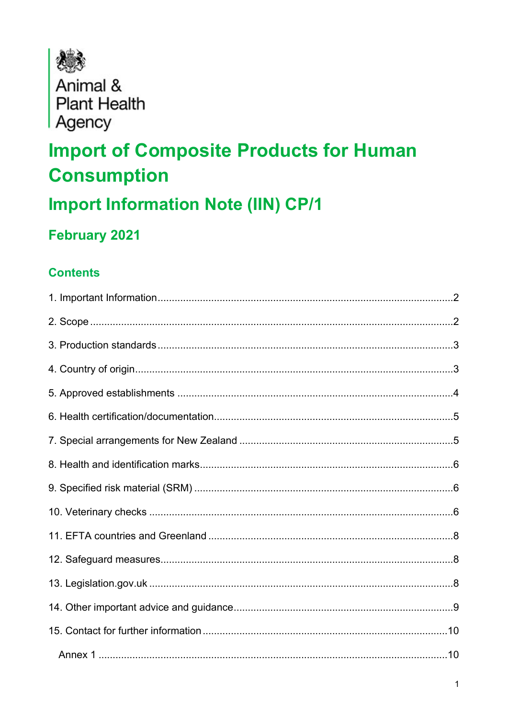

Animal & **Plant Health** Agency

# **Import of Composite Products for Human Consumption**

### **Import Information Note (IIN) CP/1**

### February 2021

### **Contents**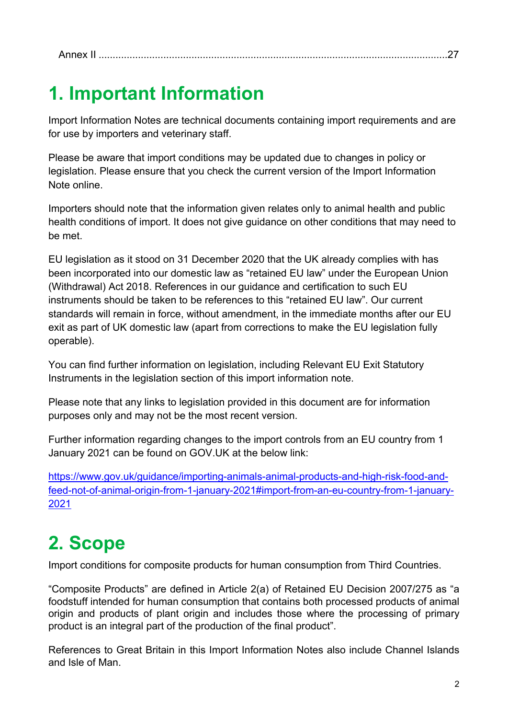### <span id="page-1-0"></span>**1. Important Information**

Import Information Notes are technical documents containing import requirements and are for use by importers and veterinary staff.

Please be aware that import conditions may be updated due to changes in policy or legislation. Please ensure that you check the current version of the Import Information Note online.

Importers should note that the information given relates only to animal health and public health conditions of import. It does not give guidance on other conditions that may need to be met.

EU legislation as it stood on 31 December 2020 that the UK already complies with has been incorporated into our domestic law as "retained EU law" under the European Union (Withdrawal) Act 2018. References in our guidance and certification to such EU instruments should be taken to be references to this "retained EU law". Our current standards will remain in force, without amendment, in the immediate months after our EU exit as part of UK domestic law (apart from corrections to make the EU legislation fully operable).

You can find further information on legislation, including Relevant EU Exit Statutory Instruments in the legislation section of this import information note.

Please note that any links to legislation provided in this document are for information purposes only and may not be the most recent version.

Further information regarding changes to the import controls from an EU country from 1 January 2021 can be found on GOV.UK at the below link:

[https://www.gov.uk/guidance/importing-animals-animal-products-and-high-risk-food-and](https://www.gov.uk/guidance/importing-animals-animal-products-and-high-risk-food-and-feed-not-of-animal-origin-from-1-january-2021#import-from-an-eu-country-from-1-january-2021)[feed-not-of-animal-origin-from-1-january-2021#import-from-an-eu-country-from-1-january-](https://www.gov.uk/guidance/importing-animals-animal-products-and-high-risk-food-and-feed-not-of-animal-origin-from-1-january-2021#import-from-an-eu-country-from-1-january-2021)[2021](https://www.gov.uk/guidance/importing-animals-animal-products-and-high-risk-food-and-feed-not-of-animal-origin-from-1-january-2021#import-from-an-eu-country-from-1-january-2021)

# <span id="page-1-1"></span>**2. Scope**

Import conditions for composite products for human consumption from Third Countries.

"Composite Products" are defined in Article 2(a) of Retained EU Decision 2007/275 as "a foodstuff intended for human consumption that contains both processed products of animal origin and products of plant origin and includes those where the processing of primary product is an integral part of the production of the final product".

References to Great Britain in this Import Information Notes also include Channel Islands and Isle of Man.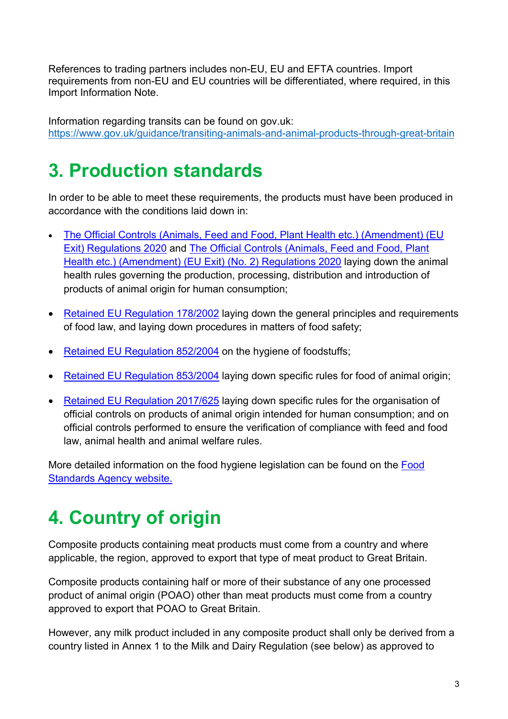References to trading partners includes non-EU, EU and EFTA countries. Import requirements from non-EU and EU countries will be differentiated, where required, in this Import Information Note.

Information regarding transits can be found on gov.uk: <https://www.gov.uk/guidance/transiting-animals-and-animal-products-through-great-britain>

### <span id="page-2-0"></span>**3. Production standards**

In order to be able to meet these requirements, the products must have been produced in accordance with the conditions laid down in:

- [The Official Controls \(Animals, Feed and Food, Plant Health etc.\) \(Amendment\) \(EU](https://www.legislation.gov.uk/ukdsi/2020/9780348214413/contents)  [Exit\) Regulations 2020](https://www.legislation.gov.uk/ukdsi/2020/9780348214413/contents) and [The Official Controls \(Animals, Feed and Food, Plant](https://www.legislation.gov.uk/uksi/2020/1631/contents/made) [Health etc.\) \(Amendment\) \(EU Exit\) \(No. 2\) Regulations 2020](https://www.legislation.gov.uk/uksi/2020/1631/contents/made) laying down the animal health rules governing the production, processing, distribution and introduction of products of animal origin for human consumption;
- [Retained EU Regulation 178/2002](https://www.legislation.gov.uk/eur/2002/178/contents) laying down the general principles and requirements of food law, and laying down procedures in matters of food safety;
- [Retained EU Regulation 852/2004](https://www.legislation.gov.uk/eur/2004/852/contents) on the hygiene of foodstuffs;
- [Retained EU Regulation 853/2004](https://www.legislation.gov.uk/eur/2004/853/contents) laying down specific rules for food of animal origin;
- [Retained EU Regulation 2017/625](https://www.legislation.gov.uk/eur/2017/625/contents) laying down specific rules for the organisation of official controls on products of animal origin intended for human consumption; and on official controls performed to ensure the verification of compliance with feed and food law, animal health and animal welfare rules.

More detailed information on the food hygiene legislation can be found on the [Food](https://www.food.gov.uk/)  [Standards Agency website.](https://www.food.gov.uk/) 

# <span id="page-2-1"></span>**4. Country of origin**

Composite products containing meat products must come from a country and where applicable, the region, approved to export that type of meat product to Great Britain.

Composite products containing half or more of their substance of any one processed product of animal origin (POAO) other than meat products must come from a country approved to export that POAO to Great Britain.

However, any milk product included in any composite product shall only be derived from a country listed in Annex 1 to the Milk and Dairy Regulation (see below) as approved to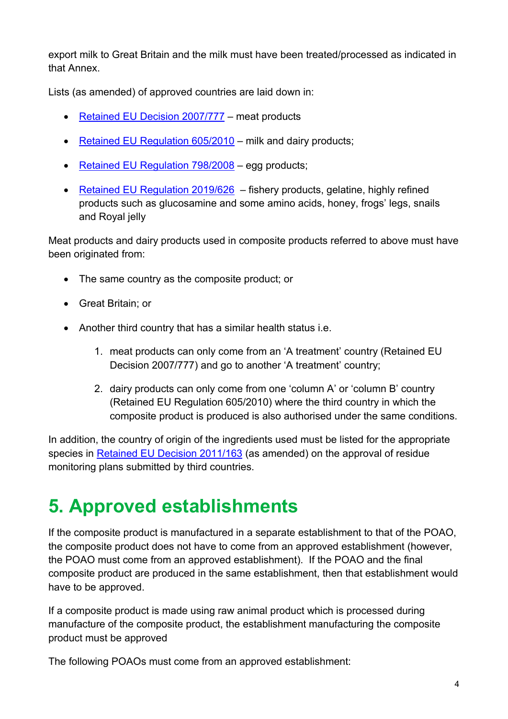export milk to Great Britain and the milk must have been treated/processed as indicated in that Annex.

Lists (as amended) of approved countries are laid down in:

- [Retained EU Decision 2007/777](https://www.legislation.gov.uk/eudn/2007/777/contents)  meat products
- [Retained EU Regulation 605/2010](https://www.legislation.gov.uk/eur/2010/605/contents)  milk and dairy products;
- [Retained EU Regulation 798/2008](https://www.legislation.gov.uk/eur/2008/798/contents)  egg products;
- [Retained EU Regulation 2019/626](https://www.legislation.gov.uk/eur/2019/626/contents)  fishery products, gelatine, highly refined products such as glucosamine and some amino acids, honey, frogs' legs, snails and Royal jelly

Meat products and dairy products used in composite products referred to above must have been originated from:

- The same country as the composite product; or
- Great Britain; or
- Another third country that has a similar health status i.e.
	- 1. meat products can only come from an 'A treatment' country (Retained EU Decision 2007/777) and go to another 'A treatment' country;
	- 2. dairy products can only come from one 'column A' or 'column B' country (Retained EU Regulation 605/2010) where the third country in which the composite product is produced is also authorised under the same conditions.

In addition, the country of origin of the ingredients used must be listed for the appropriate species in [Retained EU Decision 2011/163](https://www.legislation.gov.uk/eudn/2011/163/contents) (as amended) on the approval of residue monitoring plans submitted by third countries.

# <span id="page-3-0"></span>**5. Approved establishments**

If the composite product is manufactured in a separate establishment to that of the POAO, the composite product does not have to come from an approved establishment (however, the POAO must come from an approved establishment). If the POAO and the final composite product are produced in the same establishment, then that establishment would have to be approved.

If a composite product is made using raw animal product which is processed during manufacture of the composite product, the establishment manufacturing the composite product must be approved

The following POAOs must come from an approved establishment: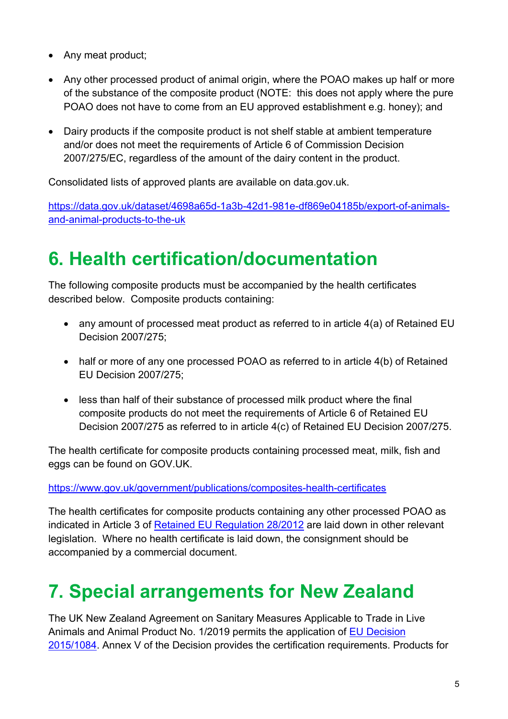- Any meat product;
- Any other processed product of animal origin, where the POAO makes up half or more of the substance of the composite product (NOTE: this does not apply where the pure POAO does not have to come from an EU approved establishment e.g. honey); and
- Dairy products if the composite product is not shelf stable at ambient temperature and/or does not meet the requirements of Article 6 of Commission Decision 2007/275/EC, regardless of the amount of the dairy content in the product.

Consolidated lists of approved plants are available on data.gov.uk.

[https://data.gov.uk/dataset/4698a65d-1a3b-42d1-981e-df869e04185b/export-of-animals](https://data.gov.uk/dataset/4698a65d-1a3b-42d1-981e-df869e04185b/export-of-animals-and-animal-products-to-the-uk)[and-animal-products-to-the-uk](https://data.gov.uk/dataset/4698a65d-1a3b-42d1-981e-df869e04185b/export-of-animals-and-animal-products-to-the-uk)

## <span id="page-4-0"></span>**6. Health certification/documentation**

The following composite products must be accompanied by the health certificates described below. Composite products containing:

- any amount of processed meat product as referred to in article 4(a) of Retained EU Decision 2007/275;
- half or more of any one processed POAO as referred to in article 4(b) of Retained EU Decision 2007/275;
- less than half of their substance of processed milk product where the final composite products do not meet the requirements of Article 6 of Retained EU Decision 2007/275 as referred to in article 4(c) of Retained EU Decision 2007/275.

The health certificate for composite products containing processed meat, milk, fish and eggs can be found on GOV.UK.

<https://www.gov.uk/government/publications/composites-health-certificates>

The health certificates for composite products containing any other processed POAO as indicated in Article 3 of [Retained EU Regulation 28/2012](https://www.legislation.gov.uk/eur/2012/28/contents) are laid down in other relevant legislation. Where no health certificate is laid down, the consignment should be accompanied by a commercial document.

# <span id="page-4-1"></span>**7. Special arrangements for New Zealand**

The UK New Zealand Agreement on Sanitary Measures Applicable to Trade in Live Animals and Animal Product No. 1/2019 permits the application of [EU Decision](https://www.legislation.gov.uk/eudn/2015/1084/contents)  [2015/1084.](https://www.legislation.gov.uk/eudn/2015/1084/contents) Annex V of the Decision provides the certification requirements. Products for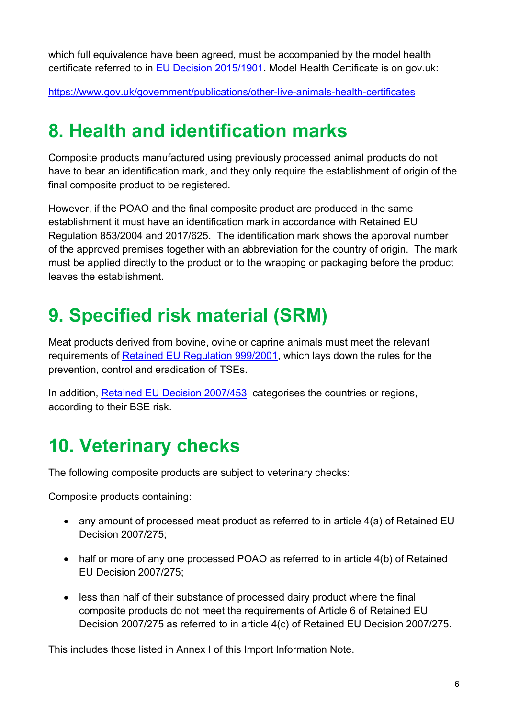which full equivalence have been agreed, must be accompanied by the model health certificate referred to in [EU Decision 2015/1901.](https://www.legislation.gov.uk/eudn/2015/1901/contents) Model Health Certificate is on gov.uk:

<https://www.gov.uk/government/publications/other-live-animals-health-certificates>

## <span id="page-5-0"></span>**8. Health and identification marks**

Composite products manufactured using previously processed animal products do not have to bear an identification mark, and they only require the establishment of origin of the final composite product to be registered.

However, if the POAO and the final composite product are produced in the same establishment it must have an identification mark in accordance with Retained EU Regulation 853/2004 and 2017/625. The identification mark shows the approval number of the approved premises together with an abbreviation for the country of origin. The mark must be applied directly to the product or to the wrapping or packaging before the product leaves the establishment.

# <span id="page-5-1"></span>**9. Specified risk material (SRM)**

Meat products derived from bovine, ovine or caprine animals must meet the relevant requirements of [Retained EU Regulation 999/2001,](https://www.legislation.gov.uk/eur/2001/999/contents) which lays down the rules for the prevention, control and eradication of TSEs.

In addition, [Retained EU Decision 2007/453](https://www.legislation.gov.uk/eudn/2007/453/contents) categorises the countries or regions, according to their BSE risk.

# <span id="page-5-2"></span>**10. Veterinary checks**

The following composite products are subject to veterinary checks:

Composite products containing:

- any amount of processed meat product as referred to in article 4(a) of Retained EU Decision 2007/275;
- half or more of any one processed POAO as referred to in article 4(b) of Retained EU Decision 2007/275;
- less than half of their substance of processed dairy product where the final composite products do not meet the requirements of Article 6 of Retained EU Decision 2007/275 as referred to in article 4(c) of Retained EU Decision 2007/275.

This includes those listed in Annex I of this Import Information Note.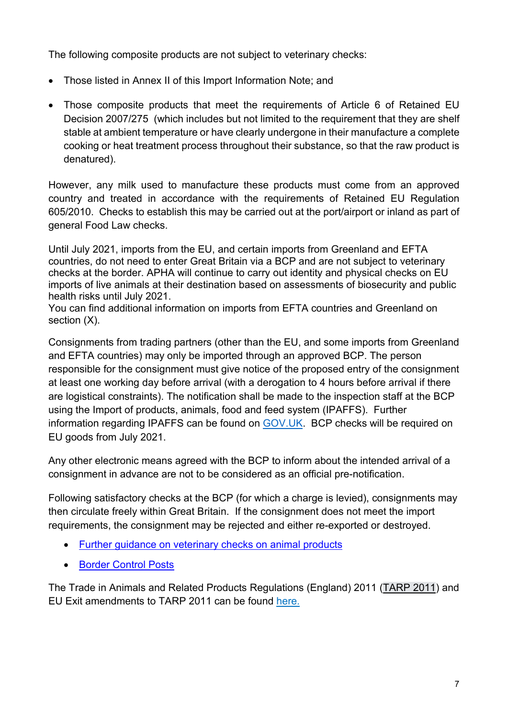The following composite products are not subject to veterinary checks:

- Those listed in Annex II of this Import Information Note; and
- Those composite products that meet the requirements of Article 6 of Retained EU Decision 2007/275 (which includes but not limited to the requirement that they are shelf stable at ambient temperature or have clearly undergone in their manufacture a complete cooking or heat treatment process throughout their substance, so that the raw product is denatured).

However, any milk used to manufacture these products must come from an approved country and treated in accordance with the requirements of Retained EU Regulation 605/2010. Checks to establish this may be carried out at the port/airport or inland as part of general Food Law checks.

Until July 2021, imports from the EU, and certain imports from Greenland and EFTA countries, do not need to enter Great Britain via a BCP and are not subject to veterinary checks at the border. APHA will continue to carry out identity and physical checks on EU imports of live animals at their destination based on assessments of biosecurity and public health risks until July 2021.

You can find additional information on imports from EFTA countries and Greenland on section  $(X)$ .

Consignments from trading partners (other than the EU, and some imports from Greenland and EFTA countries) may only be imported through an approved BCP. The person responsible for the consignment must give notice of the proposed entry of the consignment at least one working day before arrival (with a derogation to 4 hours before arrival if there are logistical constraints). The notification shall be made to the inspection staff at the BCP using the Import of products, animals, food and feed system (IPAFFS). Further information regarding IPAFFS can be found on [GOV.UK.](https://www.gov.uk/guidance/import-of-products-animals-food-and-feed-system) BCP checks will be required on EU goods from July 2021.

Any other electronic means agreed with the BCP to inform about the intended arrival of a consignment in advance are not to be considered as an official pre-notification.

Following satisfactory checks at the BCP (for which a charge is levied), consignments may then circulate freely within Great Britain. If the consignment does not meet the import requirements, the consignment may be rejected and either re-exported or destroyed.

- [Further guidance on veterinary checks on animal products](http://apha.defra.gov.uk/documents/bip/iin/vcap.pdf)
- [Border Control Posts](https://www.gov.uk/government/publications/uk-border-inspection-posts-contact-details)

The [Trade in Animals and Related Products Regulations \(England\) 2011](https://www.legislation.gov.uk/uksi/2011/1197/contents) [\(TARP 2011\)](https://www.legislation.gov.uk/uksi/2011/1197/contents/made) and EU Exit amendments to TARP 2011 can be found [here.](https://www.legislation.gov.uk/uksi/2020/1462/made)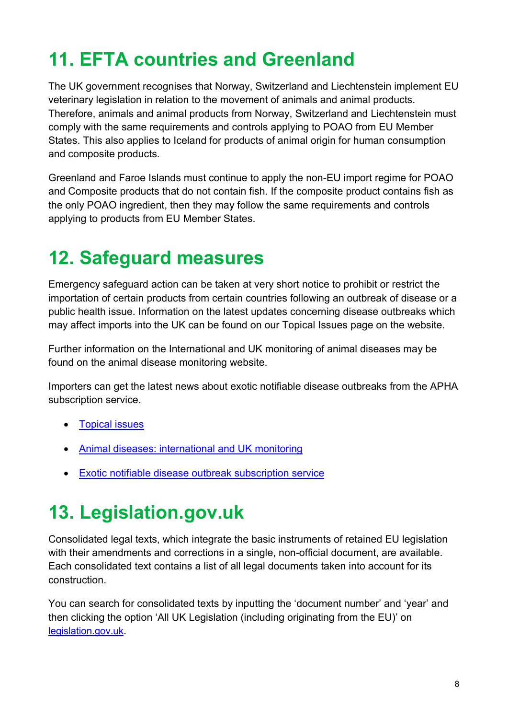# <span id="page-7-0"></span>**11. EFTA countries and Greenland**

The UK government recognises that Norway, Switzerland and Liechtenstein implement EU veterinary legislation in relation to the movement of animals and animal products. Therefore, animals and animal products from Norway, Switzerland and Liechtenstein must comply with the same requirements and controls applying to POAO from EU Member States. This also applies to Iceland for products of animal origin for human consumption and composite products.

Greenland and Faroe Islands must continue to apply the non-EU import regime for POAO and Composite products that do not contain fish. If the composite product contains fish as the only POAO ingredient, then they may follow the same requirements and controls applying to products from EU Member States.

# <span id="page-7-1"></span>**12. Safeguard measures**

Emergency safeguard action can be taken at very short notice to prohibit or restrict the importation of certain products from certain countries following an outbreak of disease or a public health issue. Information on the latest updates concerning disease outbreaks which may affect imports into the UK can be found on our Topical Issues page on the website.

Further information on the International and UK monitoring of animal diseases may be found on the animal disease monitoring website.

Importers can get the latest news about exotic notifiable disease outbreaks from the APHA subscription service.

- **[Topical issues](https://www.gov.uk/imports-and-exports-of-animals-and-animal-products-topical-issues)**
- [Animal diseases: international and UK monitoring](https://www.gov.uk/government/collections/animal-diseases-international-monitoring)
- [Exotic notifiable disease outbreak subscription service](https://www.gov.uk/government/collections/animal-diseases-international-monitoring)

# <span id="page-7-2"></span>**13. Legislation.gov.uk**

Consolidated legal texts, which integrate the basic instruments of retained EU legislation with their amendments and corrections in a single, non-official document, are available. Each consolidated text contains a list of all legal documents taken into account for its construction.

You can search for consolidated texts by inputting the 'document number' and 'year' and then clicking the option 'All UK Legislation (including originating from the EU)' on [legislation.gov.uk.](https://www.legislation.gov.uk/)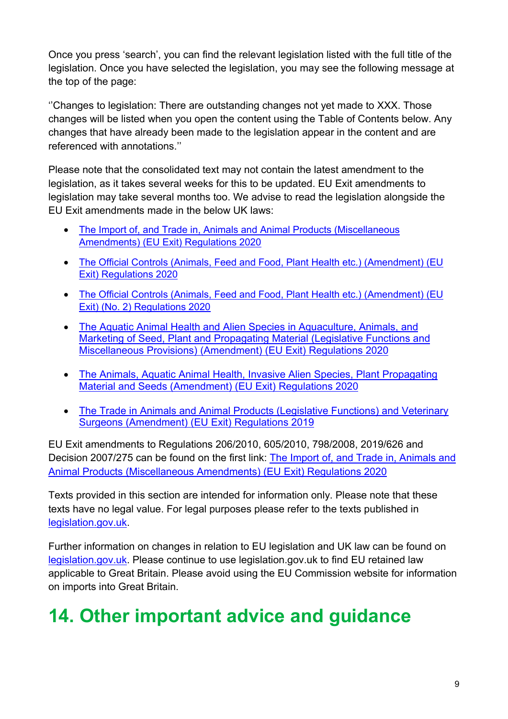Once you press 'search', you can find the relevant legislation listed with the full title of the legislation. Once you have selected the legislation, you may see the following message at the top of the page:

''Changes to legislation: There are outstanding changes not yet made to XXX. Those changes will be listed when you open the content using the Table of Contents below. Any changes that have already been made to the legislation appear in the content and are referenced with annotations.''

Please note that the consolidated text may not contain the latest amendment to the legislation, as it takes several weeks for this to be updated. EU Exit amendments to legislation may take several months too. We advise to read the legislation alongside the EU Exit amendments made in the below UK laws:

- [The Import of, and Trade in, Animals and Animal Products \(Miscellaneous](https://www.legislation.gov.uk/ukdsi/2020/9780348213928/contents)  [Amendments\) \(EU Exit\) Regulations 2020](https://www.legislation.gov.uk/ukdsi/2020/9780348213928/contents)
- The Official Controls (Animals, Feed and Food, Plant Health etc.) (Amendment) (EU [Exit\) Regulations 2020](https://www.legislation.gov.uk/ukdsi/2020/9780348214413/contents)
- [The Official Controls \(Animals, Feed and Food, Plant Health etc.\) \(Amendment\) \(EU](https://www.legislation.gov.uk/uksi/2020/1631/contents/made)  [Exit\) \(No. 2\) Regulations 2020](https://www.legislation.gov.uk/uksi/2020/1631/contents/made)
- [The Aquatic Animal Health and Alien Species in Aquaculture, Animals, and](https://www.legislation.gov.uk/uksi/2020/1463/contents/made)  [Marketing of Seed, Plant and Propagating Material \(Legislative Functions and](https://www.legislation.gov.uk/uksi/2020/1463/contents/made)  [Miscellaneous Provisions\) \(Amendment\) \(EU Exit\) Regulations 2020](https://www.legislation.gov.uk/uksi/2020/1463/contents/made)
- [The Animals, Aquatic Animal Health, Invasive Alien Species, Plant Propagating](https://www.legislation.gov.uk/uksi/2020/1388/contents/made)  [Material and Seeds \(Amendment\) \(EU Exit\) Regulations 2020](https://www.legislation.gov.uk/uksi/2020/1388/contents/made)
- [The Trade in Animals and Animal Products \(Legislative Functions\) and Veterinary](https://www.legislation.gov.uk/uksi/2019/1225/contents/made)  [Surgeons \(Amendment\) \(EU Exit\) Regulations 2019](https://www.legislation.gov.uk/uksi/2019/1225/contents/made)

EU Exit amendments to Regulations 206/2010, 605/2010, 798/2008, 2019/626 and Decision 2007/275 can be found on the first link: The Import of, and Trade in, Animals and [Animal Products \(Miscellaneous Amendments\) \(EU Exit\) Regulations 2020](https://www.legislation.gov.uk/ukdsi/2020/9780348213928/contents) 

Texts provided in this section are intended for information only. Please note that these texts have no legal value. For legal purposes please refer to the texts published in [legislation.gov.uk.](https://www.legislation.gov.uk/)

Further information on changes in relation to EU legislation and UK law can be found on [legislation.gov.uk.](https://www.legislation.gov.uk/eu-legislation-and-uk-law) Please continue to use legislation.gov.uk to find EU retained law applicable to Great Britain. Please avoid using the EU Commission website for information on imports into Great Britain.

# <span id="page-8-0"></span>**14. Other important advice and guidance**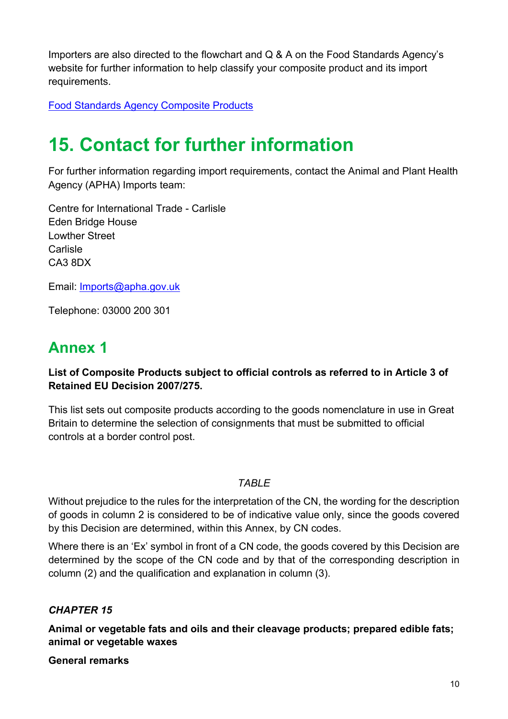Importers are also directed to the flowchart and Q & A on the Food Standards Agency's website for further information to help classify your composite product and its import requirements.

<span id="page-9-0"></span>[Food Standards Agency Composite Products](https://www.food.gov.uk/business-industry/imports/compositeprods)

# **15. Contact for further information**

For further information regarding import requirements, contact the Animal and Plant Health Agency (APHA) Imports team:

Centre for International Trade - Carlisle Eden Bridge House Lowther Street **Carlisle** CA3 8DX

Email: [Imports@apha.gov.uk](mailto:Imports@apha.gov.uk)

Telephone: 03000 200 301

### <span id="page-9-1"></span>**Annex 1**

#### **List of Composite Products subject to official controls as referred to in Article 3 of Retained EU Decision 2007/275.**

This list sets out composite products according to the goods nomenclature in use in Great Britain to determine the selection of consignments that must be submitted to official controls at a border control post.

#### *TABLE*

Without prejudice to the rules for the interpretation of the CN, the wording for the description of goods in column 2 is considered to be of indicative value only, since the goods covered by this Decision are determined, within this Annex, by CN codes.

Where there is an 'Ex' symbol in front of a CN code, the goods covered by this Decision are determined by the scope of the CN code and by that of the corresponding description in column (2) and the qualification and explanation in column (3).

### *CHAPTER 15*

**Animal or vegetable fats and oils and their cleavage products; prepared edible fats; animal or vegetable waxes** 

**General remarks**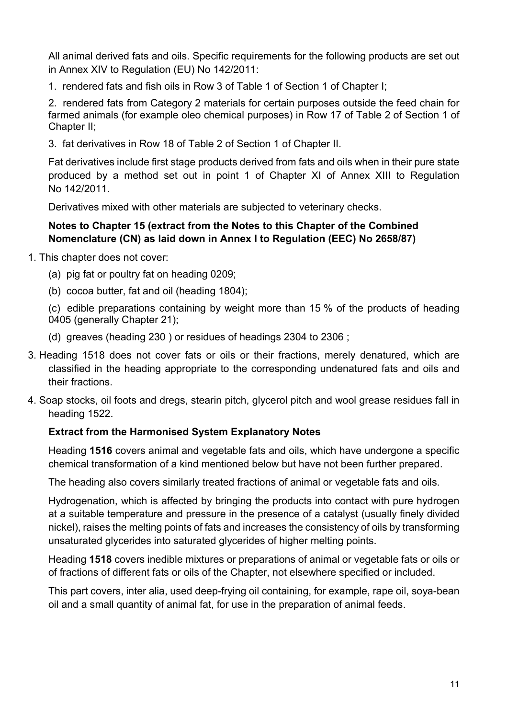All animal derived fats and oils. Specific requirements for the following products are set out in Annex XIV to Regulation (EU) No 142/2011:

1. rendered fats and fish oils in Row 3 of Table 1 of Section 1 of Chapter I;

2. rendered fats from Category 2 materials for certain purposes outside the feed chain for farmed animals (for example oleo chemical purposes) in Row 17 of Table 2 of Section 1 of Chapter II;

3. fat derivatives in Row 18 of Table 2 of Section 1 of Chapter II.

Fat derivatives include first stage products derived from fats and oils when in their pure state produced by a method set out in point 1 of Chapter XI of Annex XIII to Regulation No 142/2011.

Derivatives mixed with other materials are subjected to veterinary checks.

#### **Notes to Chapter 15 (extract from the Notes to this Chapter of the Combined Nomenclature (CN) as laid down in Annex I to Regulation (EEC) No 2658/87)**

- 1. This chapter does not cover:
	- (a) pig fat or poultry fat on heading 0209;
	- (b) cocoa butter, fat and oil (heading 1804);

(c) edible preparations containing by weight more than 15 % of the products of heading 0405 (generally Chapter 21);

- (d) greaves (heading 230 ) or residues of headings 2304 to 2306 ;
- 3. Heading 1518 does not cover fats or oils or their fractions, merely denatured, which are classified in the heading appropriate to the corresponding undenatured fats and oils and their fractions.
- 4. Soap stocks, oil foots and dregs, stearin pitch, glycerol pitch and wool grease residues fall in heading 1522.

#### **Extract from the Harmonised System Explanatory Notes**

Heading **1516** covers animal and vegetable fats and oils, which have undergone a specific chemical transformation of a kind mentioned below but have not been further prepared.

The heading also covers similarly treated fractions of animal or vegetable fats and oils.

Hydrogenation, which is affected by bringing the products into contact with pure hydrogen at a suitable temperature and pressure in the presence of a catalyst (usually finely divided nickel), raises the melting points of fats and increases the consistency of oils by transforming unsaturated glycerides into saturated glycerides of higher melting points.

Heading **1518** covers inedible mixtures or preparations of animal or vegetable fats or oils or of fractions of different fats or oils of the Chapter, not elsewhere specified or included.

This part covers, inter alia, used deep-frying oil containing, for example, rape oil, soya-bean oil and a small quantity of animal fat, for use in the preparation of animal feeds.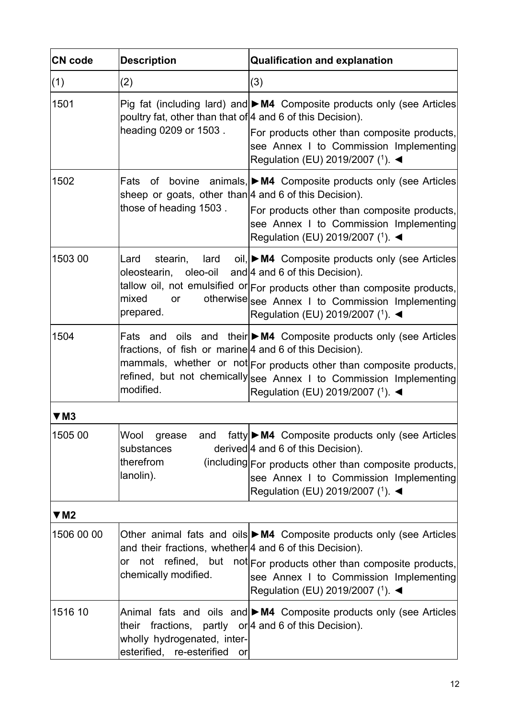| <b>CN</b> code | <b>Description</b>                                                                                                        | <b>Qualification and explanation</b>                                                                                                                                                                                                                                                              |
|----------------|---------------------------------------------------------------------------------------------------------------------------|---------------------------------------------------------------------------------------------------------------------------------------------------------------------------------------------------------------------------------------------------------------------------------------------------|
| (1)            | (2)                                                                                                                       | (3)                                                                                                                                                                                                                                                                                               |
| 1501           | poultry fat, other than that of 4 and 6 of this Decision).<br>heading 0209 or 1503.                                       | Pig fat (including lard) and $\blacktriangleright$ M4 Composite products only (see Articles<br>For products other than composite products,<br>see Annex I to Commission Implementing<br>Regulation (EU) 2019/2007 (1). <                                                                          |
| 1502           | sheep or goats, other than   4 and 6 of this Decision).<br>those of heading 1503.                                         | Fats of bovine animals, $\triangleright$ M4 Composite products only (see Articles<br>For products other than composite products,<br>see Annex I to Commission Implementing<br>Regulation (EU) 2019/2007 (1). ◀                                                                                    |
| 1503 00        | stearin,<br>Lard<br>oleostearin,<br>mixed<br>or<br>prepared.                                                              | $\text{land}$ oil, $\blacktriangleright$ M4 Composite products only (see Articles<br>oleo-oil and 4 and 6 of this Decision).<br>tallow oil, not emulsified or For products other than composite products,<br>otherwise see Annex I to Commission Implementing<br>Regulation (EU) 2019/2007 (1). ◀ |
| 1504           | fractions, of fish or marine 4 and 6 of this Decision).<br>modified.                                                      | Fats and oils and their $\triangleright$ M4 Composite products only (see Articles<br>mammals, whether or not For products other than composite products,<br>refined, but not chemically see Annex I to Commission Implementing<br>Regulation (EU) 2019/2007 (1). ◀                                |
| $\Psi$ M3      |                                                                                                                           |                                                                                                                                                                                                                                                                                                   |
| 1505 00        | Wool grease<br>and<br>substances<br>therefrom<br>lanolin).                                                                | fatty ► M4 Composite products only (see Articles<br>derived $4$ and 6 of this Decision).<br>(including For products other than composite products,<br>see Annex I to Commission Implementing<br>Regulation (EU) 2019/2007 (1). ◀                                                                  |
| $\Psi$ M2      |                                                                                                                           |                                                                                                                                                                                                                                                                                                   |
| 1506 00 00     | and their fractions, whether 4 and 6 of this Decision).<br>not refined, but<br>or<br>chemically modified.                 | Other animal fats and oils $\triangleright$ M4 Composite products only (see Articles<br>not For products other than composite products,<br>see Annex I to Commission Implementing<br>Regulation (EU) 2019/2007 ( <sup>1</sup> ). <                                                                |
| 1516 10        | their fractions, partly $or 4$ and 6 of this Decision).<br>wholly hydrogenated, inter-<br>esterified, re-esterified<br>or | Animal fats and oils and $\blacktriangleright$ M4 Composite products only (see Articles                                                                                                                                                                                                           |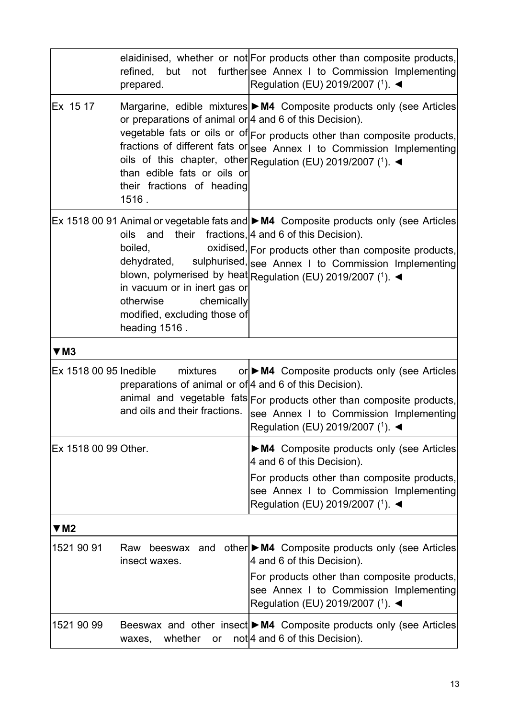|                        | prepared.                                                                                                                        | elaidinised, whether or not For products other than composite products,<br>refined, but not further see Annex I to Commission Implementing<br>Regulation (EU) 2019/2007 (1). ◀                                                                                                                                                                                        |
|------------------------|----------------------------------------------------------------------------------------------------------------------------------|-----------------------------------------------------------------------------------------------------------------------------------------------------------------------------------------------------------------------------------------------------------------------------------------------------------------------------------------------------------------------|
| Ex 15 17               | or preparations of animal or $ 4$ and 6 of this Decision).<br>than edible fats or oils or<br>their fractions of heading<br>1516. | Margarine, edible mixtures M4 Composite products only (see Articles<br>vegetable fats or oils or of For products other than composite products,<br>fractions of different fats or see Annex I to Commission Implementing<br>oils of this chapter, other Regulation (EU) 2019/2007 (1). <                                                                              |
|                        | oils<br>boiled,<br>in vacuum or in inert gas or<br>chemically<br>otherwise<br>modified, excluding those of<br>heading 1516.      | Ex 1518 00 91 Animal or vegetable fats and $\triangleright$ M4 Composite products only (see Articles<br>and their fractions, 4 and 6 of this Decision).<br>oxidised, For products other than composite products,<br>dehydrated, sulphurised, see Annex I to Commission Implementing<br>blown, polymerised by heat Regulation (EU) 2019/2007 (1). $\blacktriangleleft$ |
| $\Psi$ M3              |                                                                                                                                  |                                                                                                                                                                                                                                                                                                                                                                       |
| Ex 1518 00 95 Inedible | mixtures<br>preparations of animal or of 4 and 6 of this Decision).<br>and oils and their fractions.                             | or ▶ M4 Composite products only (see Articles<br>animal and vegetable fats For products other than composite products,<br>see Annex I to Commission Implementing<br>Regulation (EU) 2019/2007 (1). <                                                                                                                                                                  |
| Ex 1518 00 99 Other.   |                                                                                                                                  | • M4 Composite products only (see Articles<br>4 and 6 of this Decision).<br>For products other than composite products,<br>see Annex I to Commission Implementing<br>Regulation (EU) 2019/2007 (1). ◀                                                                                                                                                                 |
| $\Psi$ M2              |                                                                                                                                  |                                                                                                                                                                                                                                                                                                                                                                       |
| 1521 90 91             | Raw<br>insect waxes.                                                                                                             | beeswax and other $\triangleright$ M4 Composite products only (see Articles<br>4 and 6 of this Decision).<br>For products other than composite products,<br>see Annex I to Commission Implementing<br>Regulation (EU) 2019/2007 (1). ◀                                                                                                                                |
| 1521 90 99             | whether<br>waxes,                                                                                                                | Beeswax and other insect $\triangleright$ M4 Composite products only (see Articles<br>or $not   4$ and 6 of this Decision).                                                                                                                                                                                                                                           |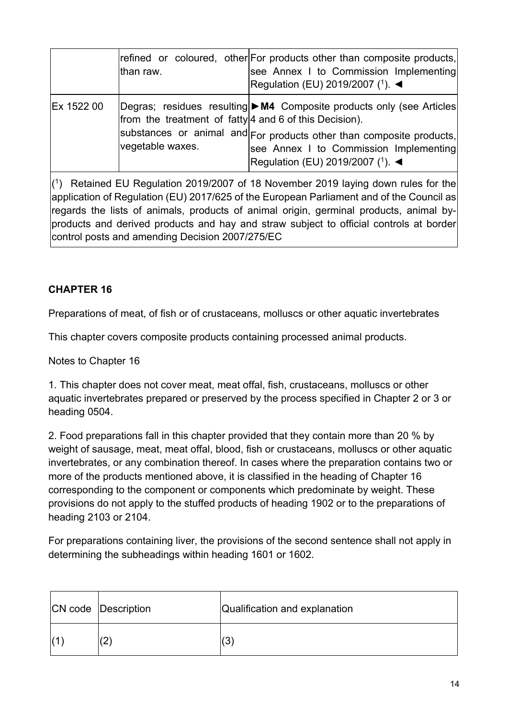|            | than raw.                                                                  | refined or coloured, other For products other than composite products,<br>see Annex I to Commission Implementing<br>Regulation (EU) 2019/2007 (1). ◀                                                                                       |
|------------|----------------------------------------------------------------------------|--------------------------------------------------------------------------------------------------------------------------------------------------------------------------------------------------------------------------------------------|
| Ex 1522 00 | from the treatment of fatty 4 and 6 of this Decision).<br>vegetable waxes. | Degras; residues resulting $\triangleright$ M4 Composite products only (see Articles<br>substances or animal and For products other than composite products,<br>see Annex I to Commission Implementing<br>Regulation (EU) 2019/2007 (1). ◀ |

( 1) Retained EU Regulation 2019/2007 of 18 November 2019 laying down rules for the application of Regulation (EU) 2017/625 of the European Parliament and of the Council as regards the lists of animals, products of animal origin, germinal products, animal byproducts and derived products and hay and straw subject to official controls at border control posts and amending Decision 2007/275/EC

#### **CHAPTER 16**

Preparations of meat, of fish or of crustaceans, molluscs or other aquatic invertebrates

This chapter covers composite products containing processed animal products.

Notes to Chapter 16

1. This chapter does not cover meat, meat offal, fish, crustaceans, molluscs or other aquatic invertebrates prepared or preserved by the process specified in Chapter 2 or 3 or heading 0504.

2. Food preparations fall in this chapter provided that they contain more than 20 % by weight of sausage, meat, meat offal, blood, fish or crustaceans, molluscs or other aquatic invertebrates, or any combination thereof. In cases where the preparation contains two or more of the products mentioned above, it is classified in the heading of Chapter 16 corresponding to the component or components which predominate by weight. These provisions do not apply to the stuffed products of heading 1902 or to the preparations of heading 2103 or 2104.

For preparations containing liver, the provisions of the second sentence shall not apply in determining the subheadings within heading 1601 or 1602.

| <b>CN</b> code Description | Qualification and explanation |
|----------------------------|-------------------------------|
| (2)                        | (3)                           |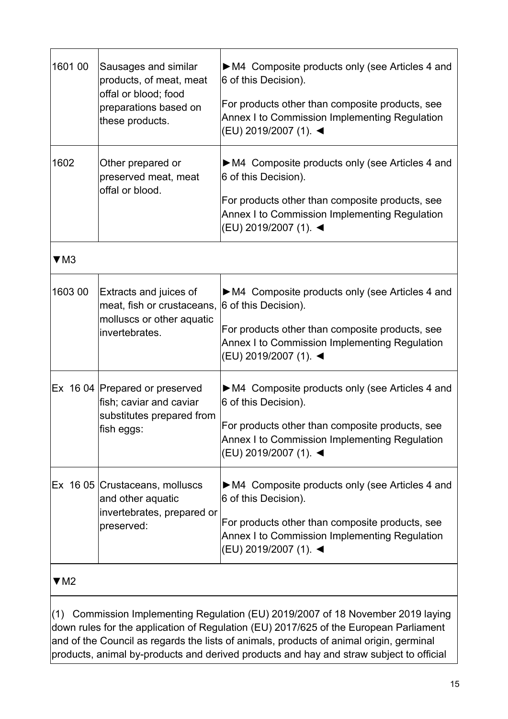| 1601 00                                                                                                                                                                                                                                                                 | Sausages and similar<br>products, of meat, meat<br>offal or blood; food<br>preparations based on<br>these products. | • M4 Composite products only (see Articles 4 and<br>6 of this Decision).<br>For products other than composite products, see<br>Annex I to Commission Implementing Regulation<br>(EU) 2019/2007 (1). < |
|-------------------------------------------------------------------------------------------------------------------------------------------------------------------------------------------------------------------------------------------------------------------------|---------------------------------------------------------------------------------------------------------------------|-------------------------------------------------------------------------------------------------------------------------------------------------------------------------------------------------------|
| 1602                                                                                                                                                                                                                                                                    | Other prepared or<br>preserved meat, meat<br>offal or blood.                                                        | • M4 Composite products only (see Articles 4 and<br>6 of this Decision).<br>For products other than composite products, see<br>Annex I to Commission Implementing Regulation<br>(EU) 2019/2007 (1). < |
| $\Psi$ M3                                                                                                                                                                                                                                                               |                                                                                                                     |                                                                                                                                                                                                       |
| 1603 00                                                                                                                                                                                                                                                                 | Extracts and juices of<br>meat, fish or crustaceans,<br>molluscs or other aquatic<br>invertebrates.                 | • M4 Composite products only (see Articles 4 and<br>6 of this Decision).<br>For products other than composite products, see<br>Annex I to Commission Implementing Regulation<br>(EU) 2019/2007 (1). ◀ |
|                                                                                                                                                                                                                                                                         | Ex 16 04   Prepared or preserved<br>fish; caviar and caviar<br>substitutes prepared from<br>fish eggs:              | • M4 Composite products only (see Articles 4 and<br>6 of this Decision).<br>For products other than composite products, see<br>Annex I to Commission Implementing Regulation<br>(EU) 2019/2007 (1). ◀ |
|                                                                                                                                                                                                                                                                         | Ex 16 05 Crustaceans, molluscs<br>and other aquatic<br>invertebrates, prepared or<br>preserved:                     | • M4 Composite products only (see Articles 4 and<br>6 of this Decision).<br>For products other than composite products, see<br>Annex I to Commission Implementing Regulation<br>(EU) 2019/2007 (1). ◀ |
| $\Psi$ M2                                                                                                                                                                                                                                                               |                                                                                                                     |                                                                                                                                                                                                       |
| Commission Implementing Regulation (EU) 2019/2007 of 18 November 2019 laying<br>(1)<br>down rules for the application of Regulation (EU) 2017/625 of the European Parliament<br>and of the Council as regards the lists of animals, products of animal origin, germinal |                                                                                                                     |                                                                                                                                                                                                       |

products, animal by-products and derived products and hay and straw subject to official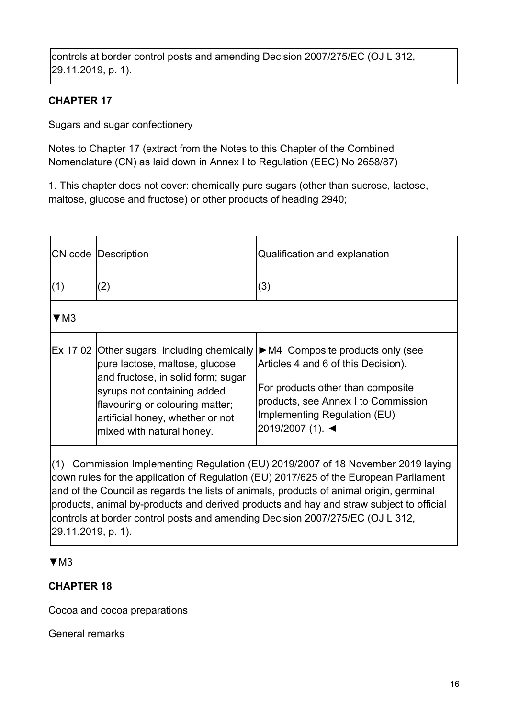controls at border control posts and amending Decision 2007/275/EC (OJ L 312, 29.11.2019, p. 1).

### **CHAPTER 17**

Sugars and sugar confectionery

Notes to Chapter 17 (extract from the Notes to this Chapter of the Combined Nomenclature (CN) as laid down in Annex I to Regulation (EEC) No 2658/87)

1. This chapter does not cover: chemically pure sugars (other than sucrose, lactose, maltose, glucose and fructose) or other products of heading 2940;

|           | <b>CN</b> code Description                                                                                                                                                                              | Qualification and explanation                                                                                                                                                                                                                                       |
|-----------|---------------------------------------------------------------------------------------------------------------------------------------------------------------------------------------------------------|---------------------------------------------------------------------------------------------------------------------------------------------------------------------------------------------------------------------------------------------------------------------|
| (1)       | (2)                                                                                                                                                                                                     | (3)                                                                                                                                                                                                                                                                 |
| $\Psi$ M3 |                                                                                                                                                                                                         |                                                                                                                                                                                                                                                                     |
|           | pure lactose, maltose, glucose<br>and fructose, in solid form; sugar<br>syrups not containing added<br>flavouring or colouring matter;<br>artificial honey, whether or not<br>mixed with natural honey. | Ex 17 02 Other sugars, including chemically $\triangleright$ M4 Composite products only (see<br>Articles 4 and 6 of this Decision).<br>For products other than composite<br>products, see Annex I to Commission<br>Implementing Regulation (EU)<br>2019/2007 (1). ◀ |

(1) Commission Implementing Regulation (EU) 2019/2007 of 18 November 2019 laying down rules for the application of Regulation (EU) 2017/625 of the European Parliament and of the Council as regards the lists of animals, products of animal origin, germinal products, animal by-products and derived products and hay and straw subject to official controls at border control posts and amending Decision 2007/275/EC (OJ L 312, 29.11.2019, p. 1).

#### $\Psi$ M3

### **CHAPTER 18**

Cocoa and cocoa preparations

General remarks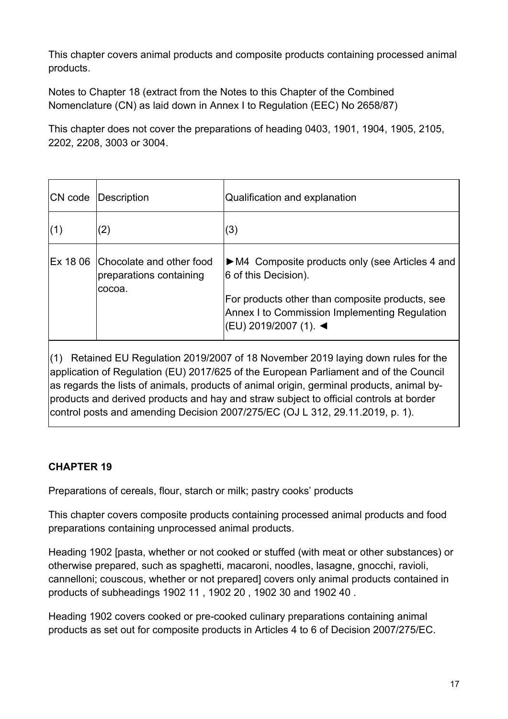This chapter covers animal products and composite products containing processed animal products.

Notes to Chapter 18 (extract from the Notes to this Chapter of the Combined Nomenclature (CN) as laid down in Annex I to Regulation (EEC) No 2658/87)

This chapter does not cover the preparations of heading 0403, 1901, 1904, 1905, 2105, 2202, 2208, 3003 or 3004.

| CN code  | Description                                                   | Qualification and explanation                                                                                                                                                                        |
|----------|---------------------------------------------------------------|------------------------------------------------------------------------------------------------------------------------------------------------------------------------------------------------------|
| (1)      | (2)                                                           | (3)                                                                                                                                                                                                  |
| Ex 18 06 | Chocolate and other food<br>preparations containing<br>cocoa. | • M4 Composite products only (see Articles 4 and<br>6 of this Decision).<br>For products other than composite products, see<br>Annex I to Commission Implementing Regulation<br> (EU) 2019/2007 (1). |

(1) Retained EU Regulation 2019/2007 of 18 November 2019 laying down rules for the application of Regulation (EU) 2017/625 of the European Parliament and of the Council as regards the lists of animals, products of animal origin, germinal products, animal byproducts and derived products and hay and straw subject to official controls at border control posts and amending Decision 2007/275/EC (OJ L 312, 29.11.2019, p. 1).

### **CHAPTER 19**

Preparations of cereals, flour, starch or milk; pastry cooks' products

This chapter covers composite products containing processed animal products and food preparations containing unprocessed animal products.

Heading 1902 [pasta, whether or not cooked or stuffed (with meat or other substances) or otherwise prepared, such as spaghetti, macaroni, noodles, lasagne, gnocchi, ravioli, cannelloni; couscous, whether or not prepared] covers only animal products contained in products of subheadings 1902 11 , 1902 20 , 1902 30 and 1902 40 .

Heading 1902 covers cooked or pre-cooked culinary preparations containing animal products as set out for composite products in Articles 4 to 6 of Decision 2007/275/EC.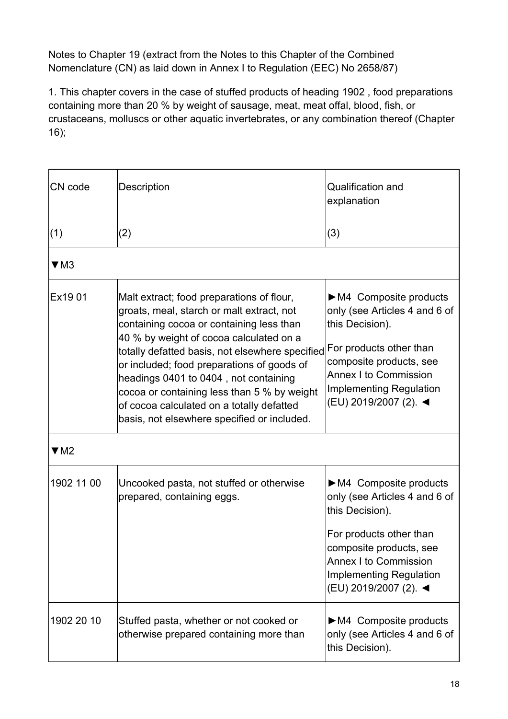Notes to Chapter 19 (extract from the Notes to this Chapter of the Combined Nomenclature (CN) as laid down in Annex I to Regulation (EEC) No 2658/87)

1. This chapter covers in the case of stuffed products of heading 1902 , food preparations containing more than 20 % by weight of sausage, meat, meat offal, blood, fish, or crustaceans, molluscs or other aquatic invertebrates, or any combination thereof (Chapter 16);

| CN code     | <b>Description</b>                                                                                                                                                                                                                                                                                                                                                                                                                                                 | Qualification and                                                                                                                                                                                                                           |
|-------------|--------------------------------------------------------------------------------------------------------------------------------------------------------------------------------------------------------------------------------------------------------------------------------------------------------------------------------------------------------------------------------------------------------------------------------------------------------------------|---------------------------------------------------------------------------------------------------------------------------------------------------------------------------------------------------------------------------------------------|
|             |                                                                                                                                                                                                                                                                                                                                                                                                                                                                    | explanation                                                                                                                                                                                                                                 |
| (1)         | (2)                                                                                                                                                                                                                                                                                                                                                                                                                                                                | (3)                                                                                                                                                                                                                                         |
| $\nabla$ M3 |                                                                                                                                                                                                                                                                                                                                                                                                                                                                    |                                                                                                                                                                                                                                             |
| Ex1901      | Malt extract; food preparations of flour,<br>groats, meal, starch or malt extract, not<br>containing cocoa or containing less than<br>40 % by weight of cocoa calculated on a<br>totally defatted basis, not elsewhere specified<br>or included; food preparations of goods of<br>headings 0401 to 0404, not containing<br>cocoa or containing less than 5 % by weight<br>of cocoa calculated on a totally defatted<br>basis, not elsewhere specified or included. | M4 Composite products<br>only (see Articles 4 and 6 of<br>this Decision).<br>For products other than<br>composite products, see<br><b>Annex I to Commission</b><br><b>Implementing Regulation</b><br>(EU) 2019/2007 (2). <                  |
| $\Psi$ M2   |                                                                                                                                                                                                                                                                                                                                                                                                                                                                    |                                                                                                                                                                                                                                             |
| 1902 11 00  | Uncooked pasta, not stuffed or otherwise<br>prepared, containing eggs.                                                                                                                                                                                                                                                                                                                                                                                             | $\triangleright$ M4 Composite products<br>only (see Articles 4 and 6 of<br>this Decision).<br>For products other than<br>composite products, see<br><b>Annex I to Commission</b><br><b>Implementing Regulation</b><br>(EU) 2019/2007 (2). < |
| 1902 20 10  | Stuffed pasta, whether or not cooked or<br>otherwise prepared containing more than                                                                                                                                                                                                                                                                                                                                                                                 | $\triangleright$ M4 Composite products<br>only (see Articles 4 and 6 of<br>this Decision).                                                                                                                                                  |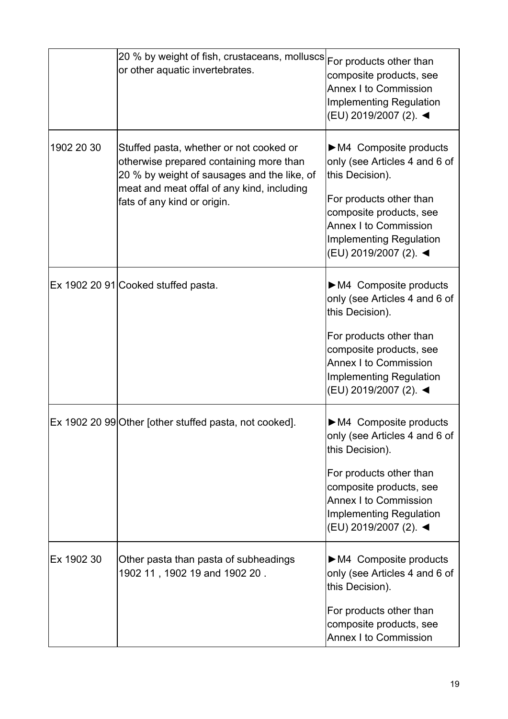|            | 20 % by weight of fish, crustaceans, molluscs For products other than<br>or other aquatic invertebrates.                                                                                                       | composite products, see<br><b>Annex I to Commission</b><br><b>Implementing Regulation</b><br>(EU) 2019/2007 (2). <                                                                                                                          |
|------------|----------------------------------------------------------------------------------------------------------------------------------------------------------------------------------------------------------------|---------------------------------------------------------------------------------------------------------------------------------------------------------------------------------------------------------------------------------------------|
| 1902 20 30 | Stuffed pasta, whether or not cooked or<br>otherwise prepared containing more than<br>20 % by weight of sausages and the like, of<br>meat and meat offal of any kind, including<br>fats of any kind or origin. | $\triangleright$ M4 Composite products<br>only (see Articles 4 and 6 of<br>this Decision).<br>For products other than<br>composite products, see<br><b>Annex I to Commission</b><br>Implementing Regulation<br>(EU) 2019/2007 (2). <        |
|            | Ex 1902 20 91 Cooked stuffed pasta.                                                                                                                                                                            | $\triangleright$ M4 Composite products<br>only (see Articles 4 and 6 of<br>this Decision).<br>For products other than<br>composite products, see<br><b>Annex I to Commission</b><br><b>Implementing Regulation</b><br>(EU) 2019/2007 (2). < |
|            | Ex 1902 20 99 Other [other stuffed pasta, not cooked].                                                                                                                                                         | $\triangleright$ M4 Composite products<br>only (see Articles 4 and 6 of<br>this Decision).<br>For products other than<br>composite products, see<br><b>Annex I to Commission</b><br><b>Implementing Regulation</b><br>(EU) 2019/2007 (2). < |
| Ex 1902 30 | Other pasta than pasta of subheadings<br>1902 11, 1902 19 and 1902 20.                                                                                                                                         | M4 Composite products<br>only (see Articles 4 and 6 of<br>this Decision).<br>For products other than<br>composite products, see<br><b>Annex I to Commission</b>                                                                             |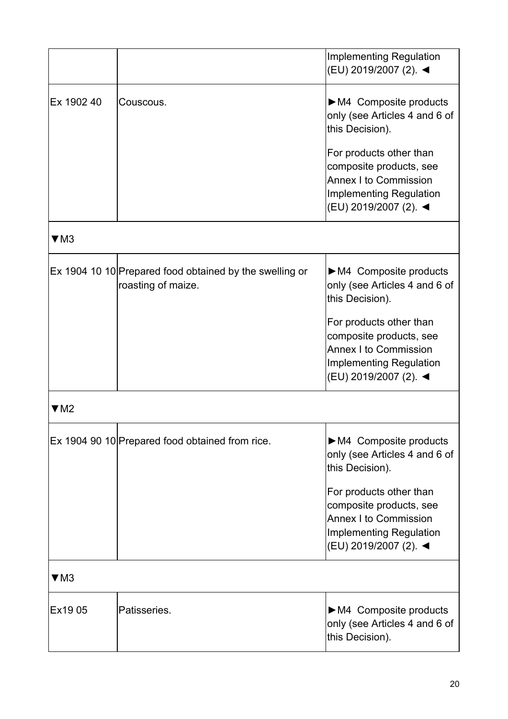|            |                                                                               | <b>Implementing Regulation</b><br>(EU) 2019/2007 (2). ◀                                                                                |
|------------|-------------------------------------------------------------------------------|----------------------------------------------------------------------------------------------------------------------------------------|
| Ex 1902 40 | Couscous.                                                                     | $\triangleright$ M4 Composite products<br>only (see Articles 4 and 6 of<br>this Decision).                                             |
|            |                                                                               | For products other than<br>composite products, see<br><b>Annex I to Commission</b><br>Implementing Regulation<br>(EU) 2019/2007 (2). ◀ |
| $\Psi$ M3  |                                                                               |                                                                                                                                        |
|            | Ex 1904 10 10 Prepared food obtained by the swelling or<br>roasting of maize. | $\triangleright$ M4 Composite products<br>only (see Articles 4 and 6 of<br>this Decision).                                             |
|            |                                                                               | For products other than<br>composite products, see<br><b>Annex I to Commission</b><br>Implementing Regulation<br>(EU) 2019/2007 (2). ◀ |
| ▼M2        |                                                                               |                                                                                                                                        |
|            | Ex 1904 90 10 Prepared food obtained from rice.                               | $\triangleright$ M4 Composite products<br>only (see Articles 4 and 6 of<br>this Decision).                                             |
|            |                                                                               | For products other than<br>composite products, see<br><b>Annex I to Commission</b><br>Implementing Regulation<br>(EU) 2019/2007 (2). ◀ |
| $\Psi$ M3  |                                                                               |                                                                                                                                        |
| Ex19 05    | Patisseries.                                                                  | $\triangleright$ M4 Composite products<br>only (see Articles 4 and 6 of<br>this Decision).                                             |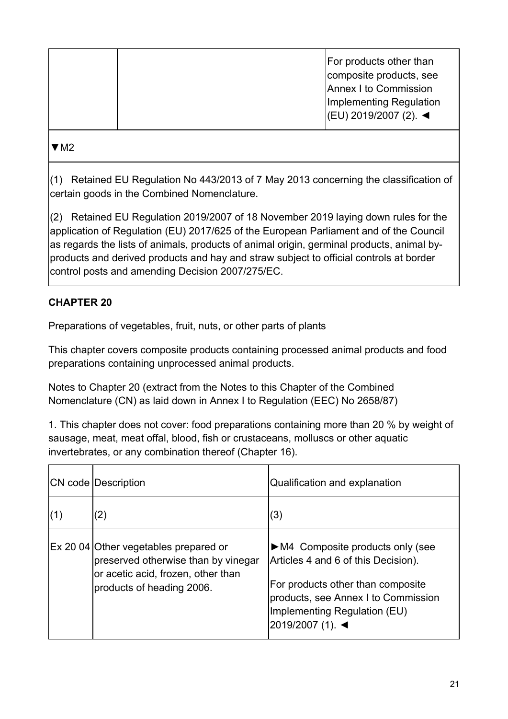|  | For products other than<br>composite products, see<br>Annex I to Commission<br>Implementing Regulation<br> (EU) 2019/2007 (2). |
|--|--------------------------------------------------------------------------------------------------------------------------------|
|  |                                                                                                                                |

[▼M2](https://eur-lex.europa.eu/legal-content/EN/AUTO/?uri=celex:32012D0031) 

(1) Retained EU Regulation No 443/2013 of 7 May 2013 concerning the classification of certain goods in the Combined Nomenclature.

(2) Retained EU Regulation 2019/2007 of 18 November 2019 laying down rules for the application of Regulation (EU) 2017/625 of the European Parliament and of the Council as regards the lists of animals, products of animal origin, germinal products, animal byproducts and derived products and hay and straw subject to official controls at border control posts and amending Decision 2007/275/EC.

### **CHAPTER 20**

Preparations of vegetables, fruit, nuts, or other parts of plants

This chapter covers composite products containing processed animal products and food preparations containing unprocessed animal products.

Notes to Chapter 20 (extract from the Notes to this Chapter of the Combined Nomenclature (CN) as laid down in Annex I to Regulation (EEC) No 2658/87)

1. This chapter does not cover: food preparations containing more than 20 % by weight of sausage, meat, meat offal, blood, fish or crustaceans, molluscs or other aquatic invertebrates, or any combination thereof (Chapter 16).

|     | <b>CN</b> code Description                                                                                                                      | Qualification and explanation                                                                                                                                                                                           |
|-----|-------------------------------------------------------------------------------------------------------------------------------------------------|-------------------------------------------------------------------------------------------------------------------------------------------------------------------------------------------------------------------------|
| (1) | $\left( 2\right)$                                                                                                                               | (3)                                                                                                                                                                                                                     |
|     | Ex 20 04 Other vegetables prepared or<br>preserved otherwise than by vinegar<br>or acetic acid, frozen, other than<br>products of heading 2006. | $\triangleright$ M4 Composite products only (see<br>Articles 4 and 6 of this Decision).<br>For products other than composite<br>products, see Annex I to Commission<br>Implementing Regulation (EU)<br>2019/2007 (1). ◀ |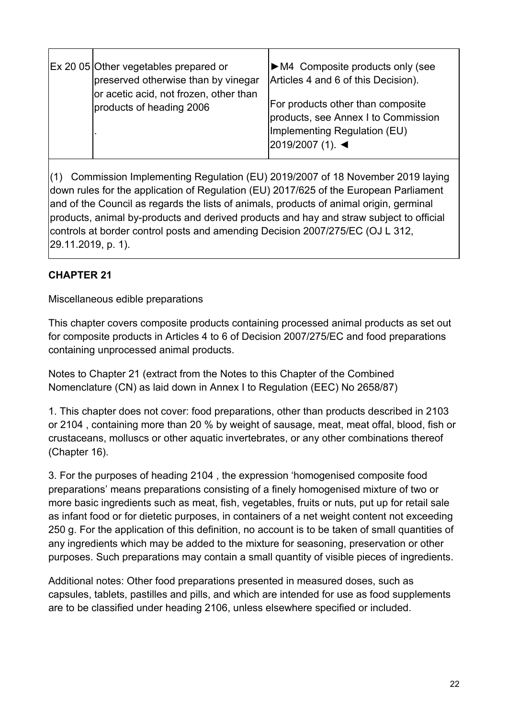| Ex 20 05 Other vegetables prepared or<br>preserved otherwise than by vinegar<br>or acetic acid, not frozen, other than | $\triangleright$ M4 Composite products only (see<br>Articles 4 and 6 of this Decision).                                      |
|------------------------------------------------------------------------------------------------------------------------|------------------------------------------------------------------------------------------------------------------------------|
| products of heading 2006                                                                                               | For products other than composite<br>products, see Annex I to Commission<br>Implementing Regulation (EU)<br>2019/2007 (1). ◀ |

(1) Commission Implementing Regulation (EU) 2019/2007 of 18 November 2019 laying down rules for the application of Regulation (EU) 2017/625 of the European Parliament and of the Council as regards the lists of animals, products of animal origin, germinal products, animal by-products and derived products and hay and straw subject to official controls at border control posts and amending Decision 2007/275/EC (OJ L 312, 29.11.2019, p. 1).

### **CHAPTER 21**

Miscellaneous edible preparations

This chapter covers composite products containing processed animal products as set out for composite products in Articles 4 to 6 of Decision 2007/275/EC and food preparations containing unprocessed animal products.

Notes to Chapter 21 (extract from the Notes to this Chapter of the Combined Nomenclature (CN) as laid down in Annex I to Regulation (EEC) No 2658/87)

1. This chapter does not cover: food preparations, other than products described in 2103 or 2104 , containing more than 20 % by weight of sausage, meat, meat offal, blood, fish or crustaceans, molluscs or other aquatic invertebrates, or any other combinations thereof (Chapter 16).

3. For the purposes of heading 2104 , the expression 'homogenised composite food preparations' means preparations consisting of a finely homogenised mixture of two or more basic ingredients such as meat, fish, vegetables, fruits or nuts, put up for retail sale as infant food or for dietetic purposes, in containers of a net weight content not exceeding 250 g. For the application of this definition, no account is to be taken of small quantities of any ingredients which may be added to the mixture for seasoning, preservation or other purposes. Such preparations may contain a small quantity of visible pieces of ingredients.

Additional notes: Other food preparations presented in measured doses, such as capsules, tablets, pastilles and pills, and which are intended for use as food supplements are to be classified under heading 2106, unless elsewhere specified or included.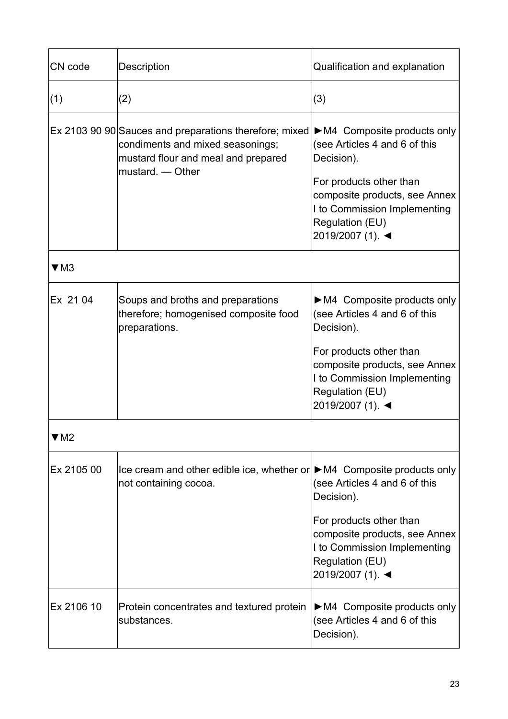| CN code    | Description                                                                                                                                                                                            | Qualification and explanation                                                                                                                                                                                                 |
|------------|--------------------------------------------------------------------------------------------------------------------------------------------------------------------------------------------------------|-------------------------------------------------------------------------------------------------------------------------------------------------------------------------------------------------------------------------------|
| (1)        | (2)                                                                                                                                                                                                    | (3)                                                                                                                                                                                                                           |
|            | Ex 2103 90 90 Sauces and preparations therefore; mixed $\blacktriangleright$ M4 Composite products only<br>condiments and mixed seasonings;<br>mustard flour and meal and prepared<br>mustard. - Other | (see Articles 4 and 6 of this<br>Decision).<br>For products other than<br>composite products, see Annex<br>I to Commission Implementing<br>Regulation (EU)<br>2019/2007 (1). ◀                                                |
| $\Psi$ M3  |                                                                                                                                                                                                        |                                                                                                                                                                                                                               |
| Ex 21 04   | Soups and broths and preparations<br>therefore; homogenised composite food<br>preparations.                                                                                                            | $\triangleright$ M4 Composite products only<br>(see Articles 4 and 6 of this<br>Decision).<br>For products other than<br>composite products, see Annex<br>I to Commission Implementing<br>Regulation (EU)<br>2019/2007 (1). ◀ |
| ▼M2        |                                                                                                                                                                                                        |                                                                                                                                                                                                                               |
| Ex 2105 00 | Ice cream and other edible ice, whether or $\triangleright$ M4 Composite products only<br>not containing cocoa.                                                                                        | (see Articles 4 and 6 of this<br>Decision).<br>For products other than<br>composite products, see Annex<br>I to Commission Implementing<br>Regulation (EU)<br>2019/2007 (1). ◀                                                |
| Ex 2106 10 | Protein concentrates and textured protein<br>substances.                                                                                                                                               | $\triangleright$ M4 Composite products only<br>(see Articles 4 and 6 of this<br>Decision).                                                                                                                                    |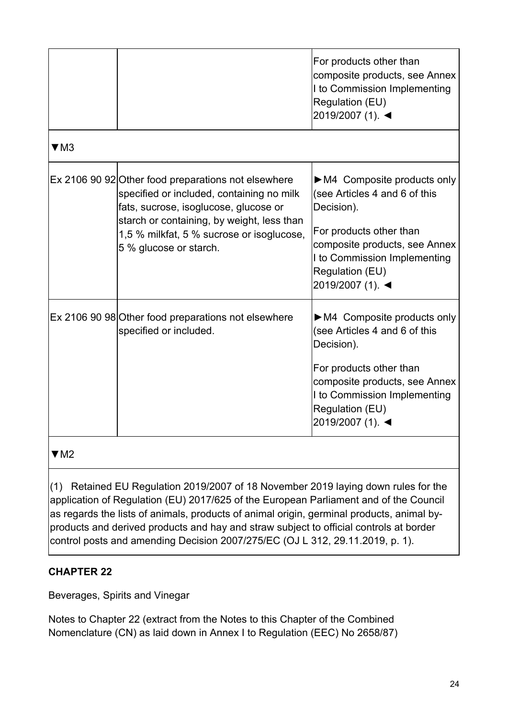|             |                                                                                                                                                                                                                                                                                                                                                                | For products other than<br>composite products, see Annex<br>I to Commission Implementing<br>Regulation (EU)<br>2019/2007 (1). ◀                                                                              |
|-------------|----------------------------------------------------------------------------------------------------------------------------------------------------------------------------------------------------------------------------------------------------------------------------------------------------------------------------------------------------------------|--------------------------------------------------------------------------------------------------------------------------------------------------------------------------------------------------------------|
| $\nabla$ M3 |                                                                                                                                                                                                                                                                                                                                                                |                                                                                                                                                                                                              |
|             | Ex 2106 90 92 Other food preparations not elsewhere<br>specified or included, containing no milk<br>fats, sucrose, isoglucose, glucose or<br>starch or containing, by weight, less than<br>1,5 % milkfat, 5 % sucrose or isoglucose,<br>5 % glucose or starch.                                                                                                 | M4 Composite products only<br>(see Articles 4 and 6 of this<br>Decision).<br>For products other than<br>composite products, see Annex<br>I to Commission Implementing<br>Regulation (EU)<br>2019/2007 (1). ◀ |
|             | Ex 2106 90 98 Other food preparations not elsewhere<br>specified or included.                                                                                                                                                                                                                                                                                  | M4 Composite products only<br>(see Articles 4 and 6 of this<br>Decision).<br>For products other than<br>composite products, see Annex<br>I to Commission Implementing<br>Regulation (EU)<br>2019/2007 (1). ◀ |
| $\Psi$ M2   |                                                                                                                                                                                                                                                                                                                                                                |                                                                                                                                                                                                              |
| (1)         | Retained EU Regulation 2019/2007 of 18 November 2019 laying down rules for the<br>application of Regulation (EU) 2017/625 of the European Parliament and of the Council<br>as regards the lists of animals, products of animal origin, germinal products, animal by-<br>products and derived products and hay and straw subject to official controls at border |                                                                                                                                                                                                              |

control posts and amending Decision 2007/275/EC (OJ L 312, 29.11.2019, p. 1).

### **CHAPTER 22**

Beverages, Spirits and Vinegar

Notes to Chapter 22 (extract from the Notes to this Chapter of the Combined Nomenclature (CN) as laid down in Annex I to Regulation (EEC) No 2658/87)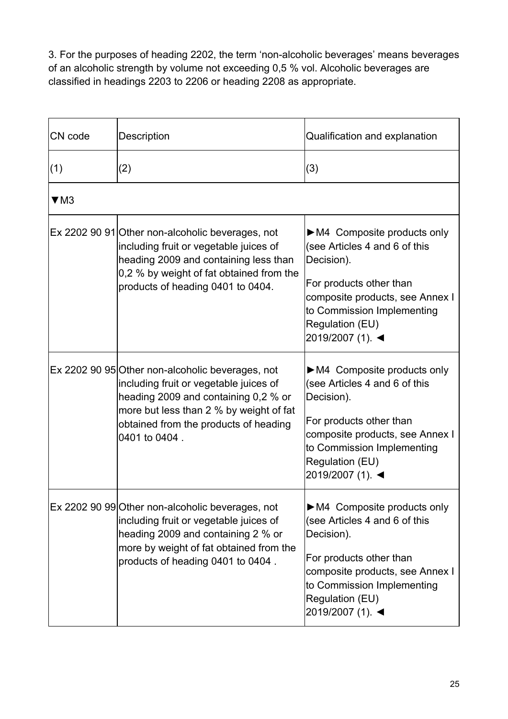3. For the purposes of heading 2202, the term 'non-alcoholic beverages' means beverages of an alcoholic strength by volume not exceeding 0,5 % vol. Alcoholic beverages are classified in headings 2203 to 2206 or heading 2208 as appropriate.

| CN code   | Description                                                                                                                                                                                                                             | Qualification and explanation                                                                                                                                                                                                 |
|-----------|-----------------------------------------------------------------------------------------------------------------------------------------------------------------------------------------------------------------------------------------|-------------------------------------------------------------------------------------------------------------------------------------------------------------------------------------------------------------------------------|
| (1)       | (2)                                                                                                                                                                                                                                     | (3)                                                                                                                                                                                                                           |
| $\Psi$ M3 |                                                                                                                                                                                                                                         |                                                                                                                                                                                                                               |
|           | Ex 2202 90 91 Other non-alcoholic beverages, not<br>including fruit or vegetable juices of<br>heading 2009 and containing less than<br>0,2 % by weight of fat obtained from the<br>products of heading 0401 to 0404.                    | $\triangleright$ M4 Composite products only<br>(see Articles 4 and 6 of this<br>Decision).<br>For products other than<br>composite products, see Annex I<br>to Commission Implementing<br>Regulation (EU)<br>2019/2007 (1). ◀ |
|           | Ex 2202 90 95 Other non-alcoholic beverages, not<br>including fruit or vegetable juices of<br>heading 2009 and containing 0,2 % or<br>more but less than 2 % by weight of fat<br>obtained from the products of heading<br>0401 to 0404. | $\triangleright$ M4 Composite products only<br>(see Articles 4 and 6 of this<br>Decision).<br>For products other than<br>composite products, see Annex I<br>to Commission Implementing<br>Regulation (EU)<br>2019/2007 (1). ◀ |
|           | Ex 2202 90 99 Other non-alcoholic beverages, not<br>including fruit or vegetable juices of<br>heading 2009 and containing 2 % or<br>more by weight of fat obtained from the<br>products of heading 0401 to 0404.                        | $\triangleright$ M4 Composite products only<br>(see Articles 4 and 6 of this<br>Decision).<br>For products other than<br>composite products, see Annex I<br>to Commission Implementing<br>Regulation (EU)<br>2019/2007 (1). ◀ |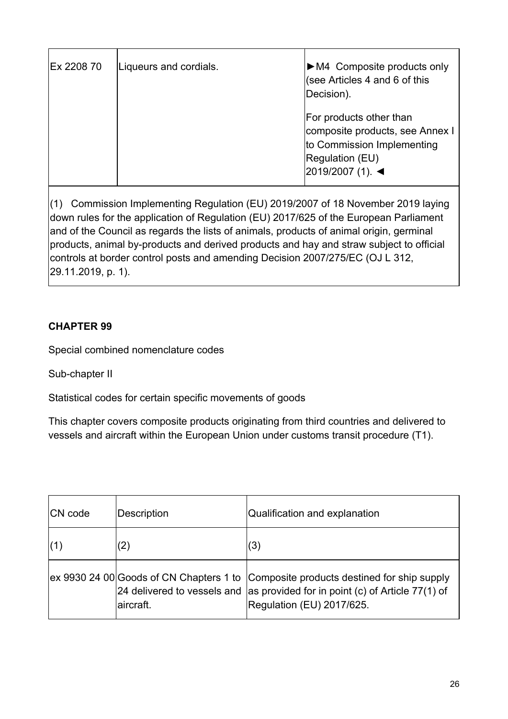| Ex 2208 70 | Liqueurs and cordials. | $\triangleright$ M4 Composite products only<br>(see Articles 4 and 6 of this<br>Decision).                                      |
|------------|------------------------|---------------------------------------------------------------------------------------------------------------------------------|
|            |                        | For products other than<br>composite products, see Annex I<br>to Commission Implementing<br>Regulation (EU)<br>2019/2007 (1). ◀ |

(1) Commission Implementing Regulation (EU) 2019/2007 of 18 November 2019 laying down rules for the application of Regulation (EU) 2017/625 of the European Parliament and of the Council as regards the lists of animals, products of animal origin, germinal products, animal by-products and derived products and hay and straw subject to official controls at border control posts and amending Decision 2007/275/EC (OJ L 312, 29.11.2019, p. 1).

### **CHAPTER 99**

Special combined nomenclature codes

Sub-chapter II

Statistical codes for certain specific movements of goods

This chapter covers composite products originating from third countries and delivered to vessels and aircraft within the European Union under customs transit procedure (T1).

| <b>CN</b> code | Description | Qualification and explanation                                                                                                                                                                    |
|----------------|-------------|--------------------------------------------------------------------------------------------------------------------------------------------------------------------------------------------------|
| (1)            | (2)         | (3)                                                                                                                                                                                              |
|                | laircraft.  | ex 9930 24 00 Goods of CN Chapters 1 to Composite products destined for ship supply<br>24 delivered to vessels and as provided for in point (c) of Article 77(1) of<br>Regulation (EU) 2017/625. |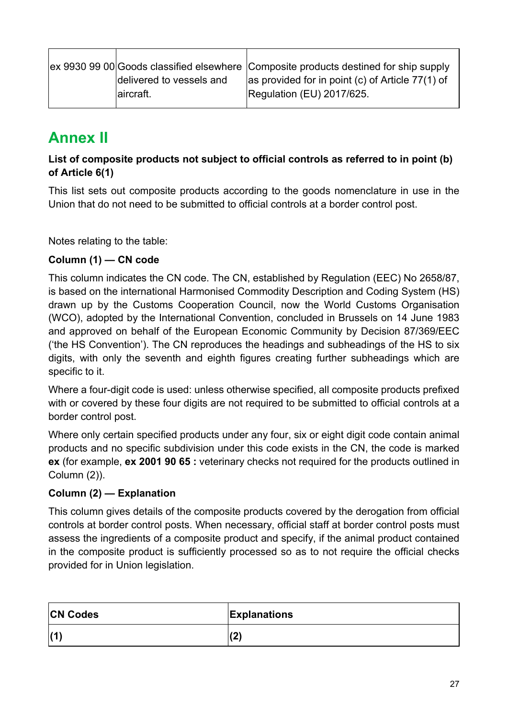|                          | ex 9930 99 00 Goods classified elsewhere Composite products destined for ship supply |
|--------------------------|--------------------------------------------------------------------------------------|
| delivered to vessels and | as provided for in point (c) of Article $77(1)$ of                                   |
| aircraft.                | Regulation (EU) 2017/625.                                                            |

### <span id="page-26-0"></span>**Annex II**

### **List of composite products not subject to official controls as referred to in point (b) of Article 6(1)**

This list sets out composite products according to the goods nomenclature in use in the Union that do not need to be submitted to official controls at a border control post.

Notes relating to the table:

#### **Column (1) — CN code**

This column indicates the CN code. The CN, established by Regulation (EEC) No 2658/87, is based on the international Harmonised Commodity Description and Coding System (HS) drawn up by the Customs Cooperation Council, now the World Customs Organisation (WCO), adopted by the International Convention, concluded in Brussels on 14 June 1983 and approved on behalf of the European Economic Community by Decision 87/369/EEC ('the HS Convention'). The CN reproduces the headings and subheadings of the HS to six digits, with only the seventh and eighth figures creating further subheadings which are specific to it.

Where a four-digit code is used: unless otherwise specified, all composite products prefixed with or covered by these four digits are not required to be submitted to official controls at a border control post.

Where only certain specified products under any four, six or eight digit code contain animal products and no specific subdivision under this code exists in the CN, the code is marked **ex** (for example, **ex 2001 90 65 :** veterinary checks not required for the products outlined in Column (2)).

### **Column (2) — Explanation**

This column gives details of the composite products covered by the derogation from official controls at border control posts. When necessary, official staff at border control posts must assess the ingredients of a composite product and specify, if the animal product contained in the composite product is sufficiently processed so as to not require the official checks provided for in Union legislation.

| <b>CN Codes</b> | <b>Explanations</b> |
|-----------------|---------------------|
| (1)             | וחו<br>$\epsilon$   |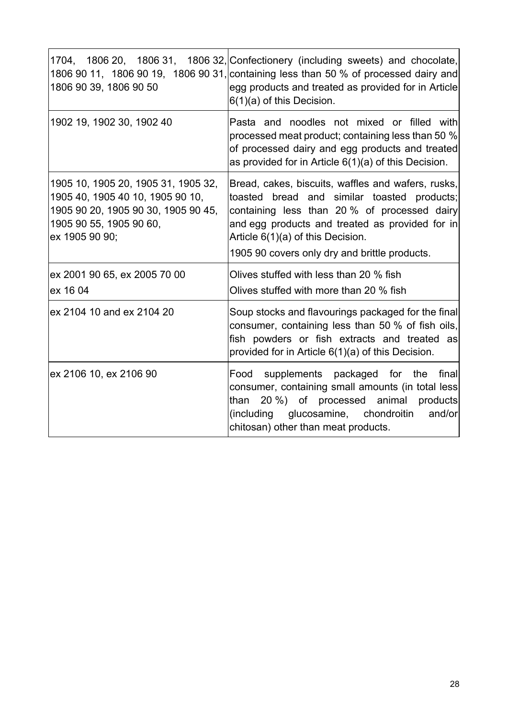| 1806 90 39, 1806 90 50                                                                                                                                      | 1704, 1806 20, 1806 31, 1806 32, Confectionery (including sweets) and chocolate,<br>1806 90 11, 1806 90 19, 1806 90 31, containing less than 50 % of processed dairy and<br>egg products and treated as provided for in Article<br>$6(1)(a)$ of this Decision.                             |
|-------------------------------------------------------------------------------------------------------------------------------------------------------------|--------------------------------------------------------------------------------------------------------------------------------------------------------------------------------------------------------------------------------------------------------------------------------------------|
| 1902 19, 1902 30, 1902 40                                                                                                                                   | Pasta and noodles not mixed or filled with<br>processed meat product; containing less than 50 %<br>of processed dairy and egg products and treated<br>as provided for in Article $6(1)(a)$ of this Decision.                                                                               |
| 1905 10, 1905 20, 1905 31, 1905 32,<br>1905 40, 1905 40 10, 1905 90 10,<br>1905 90 20, 1905 90 30, 1905 90 45,<br>1905 90 55, 1905 90 60,<br>ex 1905 90 90; | Bread, cakes, biscuits, waffles and wafers, rusks,<br>toasted bread and similar toasted products;<br>containing less than 20 % of processed dairy<br>and egg products and treated as provided for in<br>Article 6(1)(a) of this Decision.<br>1905 90 covers only dry and brittle products. |
| ex 2001 90 65, ex 2005 70 00<br>ex 16 04                                                                                                                    | Olives stuffed with less than 20 % fish<br>Olives stuffed with more than 20 % fish                                                                                                                                                                                                         |
| ex 2104 10 and ex 2104 20                                                                                                                                   | Soup stocks and flavourings packaged for the final<br>consumer, containing less than 50 % of fish oils,<br>fish powders or fish extracts and treated as<br>provided for in Article 6(1)(a) of this Decision.                                                                               |
| ex 2106 10, ex 2106 90                                                                                                                                      | supplements packaged for the<br>finall<br>Food<br>consumer, containing small amounts (in total less<br>20 %) of processed animal<br>products<br>than<br>glucosamine, chondroitin<br>(including<br>and/or<br>chitosan) other than meat products.                                            |